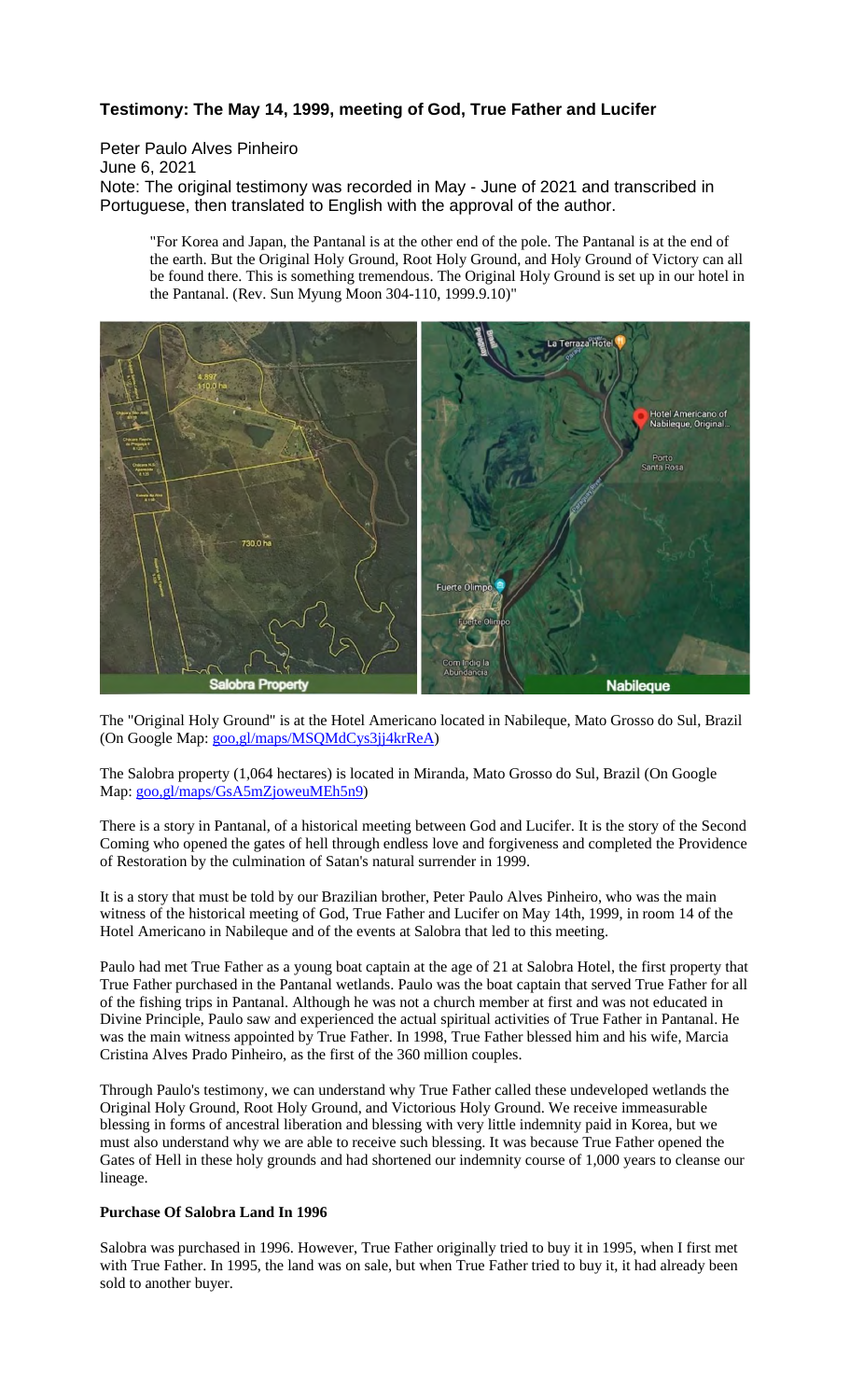# **Testimony: The May 14, 1999, meeting of God, True Father and Lucifer**

Peter Paulo Alves Pinheiro June 6, 2021 Note: The original testimony was recorded in May - June of 2021 and transcribed in Portuguese, then translated to English with the approval of the author.

"For Korea and Japan, the Pantanal is at the other end of the pole. The Pantanal is at the end of the earth. But the Original Holy Ground, Root Holy Ground, and Holy Ground of Victory can all be found there. This is something tremendous. The Original Holy Ground is set up in our hotel in the Pantanal. (Rev. Sun Myung Moon 304-110, 1999.9.10)"



The "Original Holy Ground" is at the Hotel Americano located in Nabileque, Mato Grosso do Sul, Brazil (On Google Map: goo,gl/maps/MSQMdCys3jj4krReA)

The Salobra property (1,064 hectares) is located in Miranda, Mato Grosso do Sul, Brazil (On Google Map: goo,gl/maps/GsA5mZjoweuMEh5n9)

There is a story in Pantanal, of a historical meeting between God and Lucifer. It is the story of the Second Coming who opened the gates of hell through endless love and forgiveness and completed the Providence of Restoration by the culmination of Satan's natural surrender in 1999.

It is a story that must be told by our Brazilian brother, Peter Paulo Alves Pinheiro, who was the main witness of the historical meeting of God, True Father and Lucifer on May 14th, 1999, in room 14 of the Hotel Americano in Nabileque and of the events at Salobra that led to this meeting.

Paulo had met True Father as a young boat captain at the age of 21 at Salobra Hotel, the first property that True Father purchased in the Pantanal wetlands. Paulo was the boat captain that served True Father for all of the fishing trips in Pantanal. Although he was not a church member at first and was not educated in Divine Principle, Paulo saw and experienced the actual spiritual activities of True Father in Pantanal. He was the main witness appointed by True Father. In 1998, True Father blessed him and his wife, Marcia Cristina Alves Prado Pinheiro, as the first of the 360 million couples.

Through Paulo's testimony, we can understand why True Father called these undeveloped wetlands the Original Holy Ground, Root Holy Ground, and Victorious Holy Ground. We receive immeasurable blessing in forms of ancestral liberation and blessing with very little indemnity paid in Korea, but we must also understand why we are able to receive such blessing. It was because True Father opened the Gates of Hell in these holy grounds and had shortened our indemnity course of 1,000 years to cleanse our lineage.

### **Purchase Of Salobra Land In 1996**

Salobra was purchased in 1996. However, True Father originally tried to buy it in 1995, when I first met with True Father. In 1995, the land was on sale, but when True Father tried to buy it, it had already been sold to another buyer.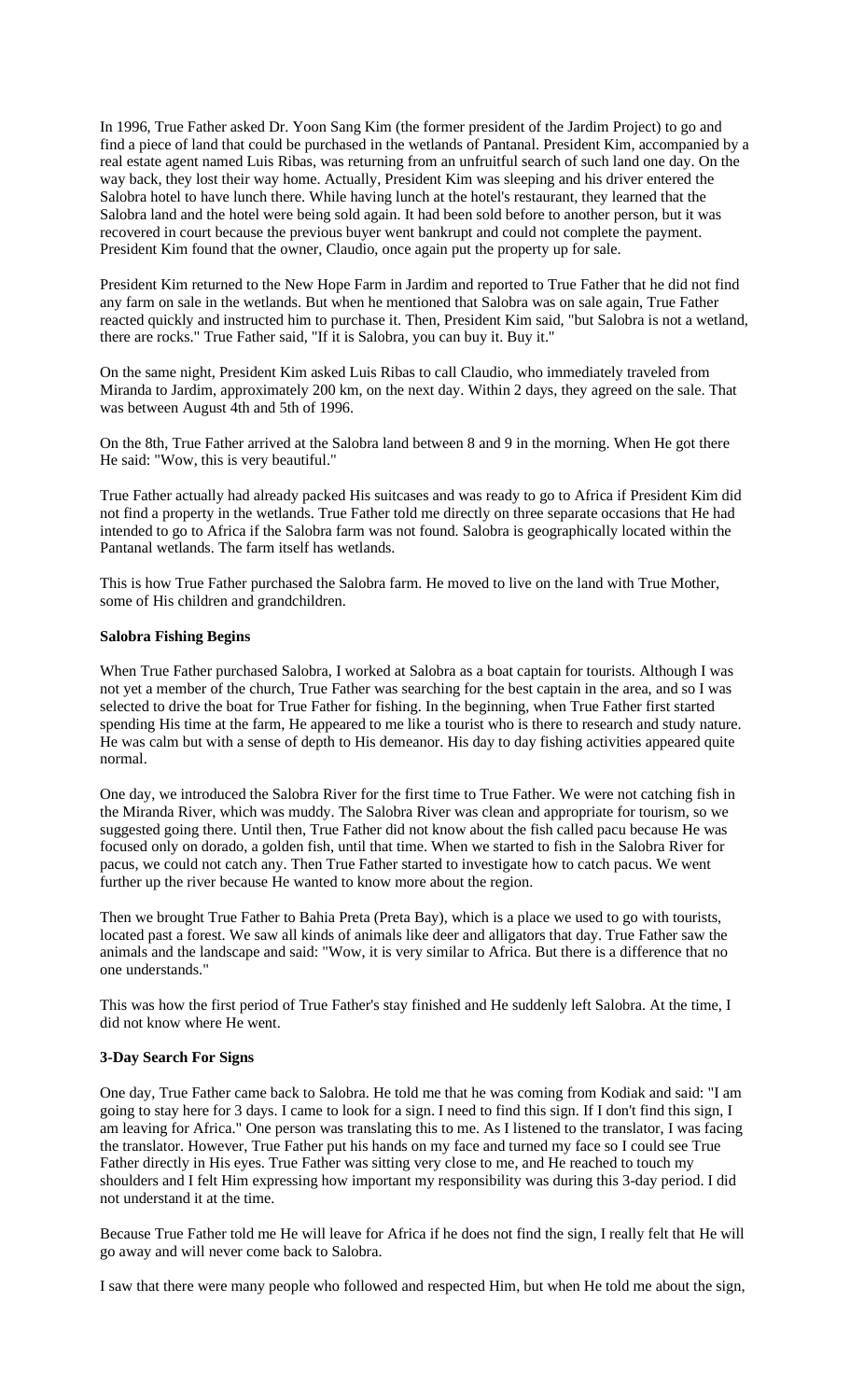In 1996, True Father asked Dr. Yoon Sang Kim (the former president of the Jardim Project) to go and find a piece of land that could be purchased in the wetlands of Pantanal. President Kim, accompanied by a real estate agent named Luis Ribas, was returning from an unfruitful search of such land one day. On the way back, they lost their way home. Actually, President Kim was sleeping and his driver entered the Salobra hotel to have lunch there. While having lunch at the hotel's restaurant, they learned that the Salobra land and the hotel were being sold again. It had been sold before to another person, but it was recovered in court because the previous buyer went bankrupt and could not complete the payment. President Kim found that the owner, Claudio, once again put the property up for sale.

President Kim returned to the New Hope Farm in Jardim and reported to True Father that he did not find any farm on sale in the wetlands. But when he mentioned that Salobra was on sale again, True Father reacted quickly and instructed him to purchase it. Then, President Kim said, "but Salobra is not a wetland, there are rocks." True Father said, "If it is Salobra, you can buy it. Buy it."

On the same night, President Kim asked Luis Ribas to call Claudio, who immediately traveled from Miranda to Jardim, approximately 200 km, on the next day. Within 2 days, they agreed on the sale. That was between August 4th and 5th of 1996.

On the 8th, True Father arrived at the Salobra land between 8 and 9 in the morning. When He got there He said: "Wow, this is very beautiful."

True Father actually had already packed His suitcases and was ready to go to Africa if President Kim did not find a property in the wetlands. True Father told me directly on three separate occasions that He had intended to go to Africa if the Salobra farm was not found. Salobra is geographically located within the Pantanal wetlands. The farm itself has wetlands.

This is how True Father purchased the Salobra farm. He moved to live on the land with True Mother, some of His children and grandchildren.

#### **Salobra Fishing Begins**

When True Father purchased Salobra, I worked at Salobra as a boat captain for tourists. Although I was not yet a member of the church, True Father was searching for the best captain in the area, and so I was selected to drive the boat for True Father for fishing. In the beginning, when True Father first started spending His time at the farm, He appeared to me like a tourist who is there to research and study nature. He was calm but with a sense of depth to His demeanor. His day to day fishing activities appeared quite normal.

One day, we introduced the Salobra River for the first time to True Father. We were not catching fish in the Miranda River, which was muddy. The Salobra River was clean and appropriate for tourism, so we suggested going there. Until then, True Father did not know about the fish called pacu because He was focused only on dorado, a golden fish, until that time. When we started to fish in the Salobra River for pacus, we could not catch any. Then True Father started to investigate how to catch pacus. We went further up the river because He wanted to know more about the region.

Then we brought True Father to Bahia Preta (Preta Bay), which is a place we used to go with tourists, located past a forest. We saw all kinds of animals like deer and alligators that day. True Father saw the animals and the landscape and said: "Wow, it is very similar to Africa. But there is a difference that no one understands."

This was how the first period of True Father's stay finished and He suddenly left Salobra. At the time, I did not know where He went.

#### **3-Day Search For Signs**

One day, True Father came back to Salobra. He told me that he was coming from Kodiak and said: "I am going to stay here for 3 days. I came to look for a sign. I need to find this sign. If I don't find this sign, I am leaving for Africa." One person was translating this to me. As I listened to the translator, I was facing the translator. However, True Father put his hands on my face and turned my face so I could see True Father directly in His eyes. True Father was sitting very close to me, and He reached to touch my shoulders and I felt Him expressing how important my responsibility was during this 3-day period. I did not understand it at the time.

Because True Father told me He will leave for Africa if he does not find the sign, I really felt that He will go away and will never come back to Salobra.

I saw that there were many people who followed and respected Him, but when He told me about the sign,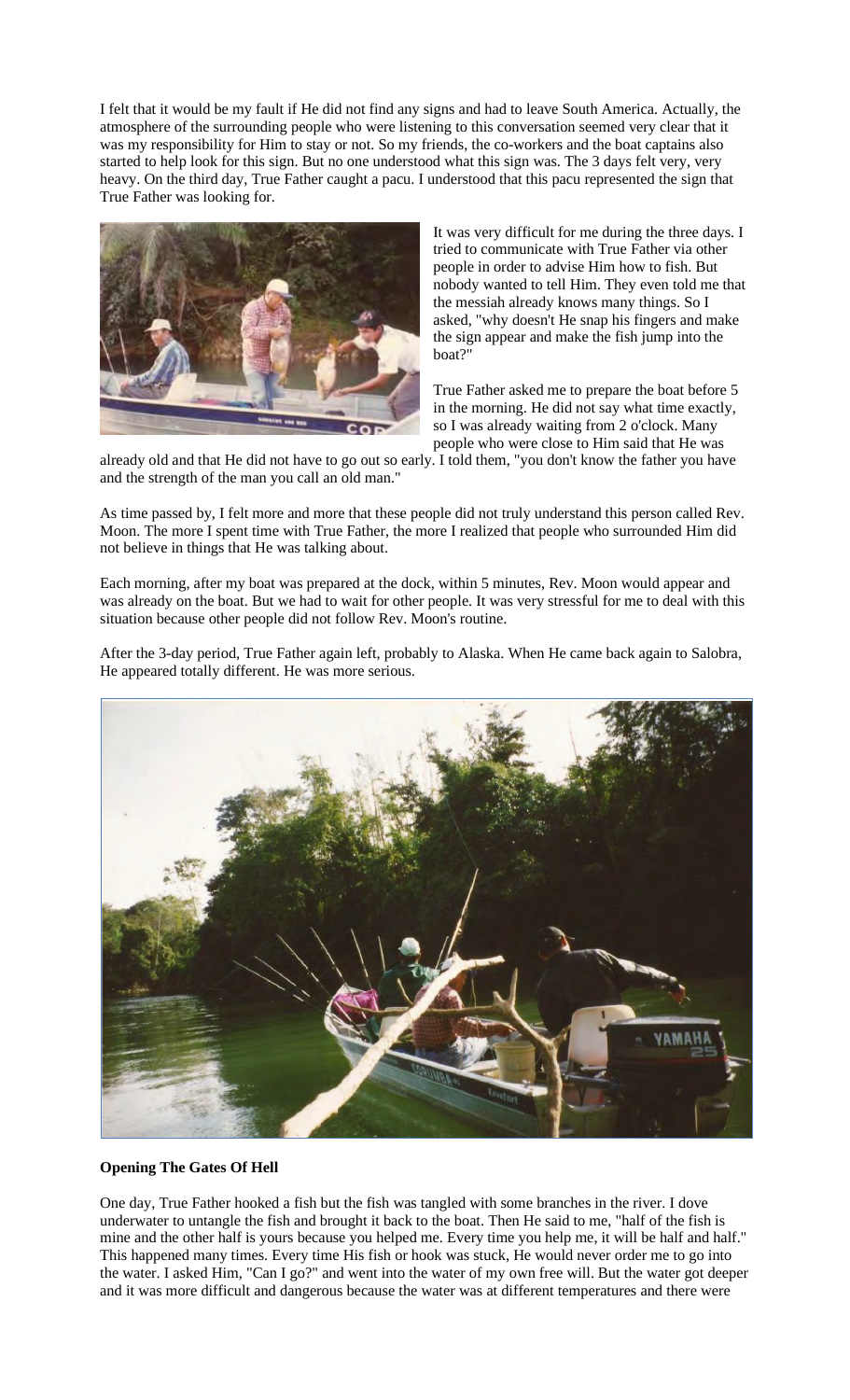I felt that it would be my fault if He did not find any signs and had to leave South America. Actually, the atmosphere of the surrounding people who were listening to this conversation seemed very clear that it was my responsibility for Him to stay or not. So my friends, the co-workers and the boat captains also started to help look for this sign. But no one understood what this sign was. The 3 days felt very, very heavy. On the third day, True Father caught a pacu. I understood that this pacu represented the sign that True Father was looking for.



It was very difficult for me during the three days. I tried to communicate with True Father via other people in order to advise Him how to fish. But nobody wanted to tell Him. They even told me that the messiah already knows many things. So I asked, "why doesn't He snap his fingers and make the sign appear and make the fish jump into the boat?"

True Father asked me to prepare the boat before 5 in the morning. He did not say what time exactly, so I was already waiting from 2 o'clock. Many people who were close to Him said that He was

already old and that He did not have to go out so early. I told them, "you don't know the father you have and the strength of the man you call an old man."

As time passed by, I felt more and more that these people did not truly understand this person called Rev. Moon. The more I spent time with True Father, the more I realized that people who surrounded Him did not believe in things that He was talking about.

Each morning, after my boat was prepared at the dock, within 5 minutes, Rev. Moon would appear and was already on the boat. But we had to wait for other people. It was very stressful for me to deal with this situation because other people did not follow Rev. Moon's routine.

After the 3-day period, True Father again left, probably to Alaska. When He came back again to Salobra, He appeared totally different. He was more serious.



### **Opening The Gates Of Hell**

One day, True Father hooked a fish but the fish was tangled with some branches in the river. I dove underwater to untangle the fish and brought it back to the boat. Then He said to me, "half of the fish is mine and the other half is yours because you helped me. Every time you help me, it will be half and half." This happened many times. Every time His fish or hook was stuck, He would never order me to go into the water. I asked Him, "Can I go?" and went into the water of my own free will. But the water got deeper and it was more difficult and dangerous because the water was at different temperatures and there were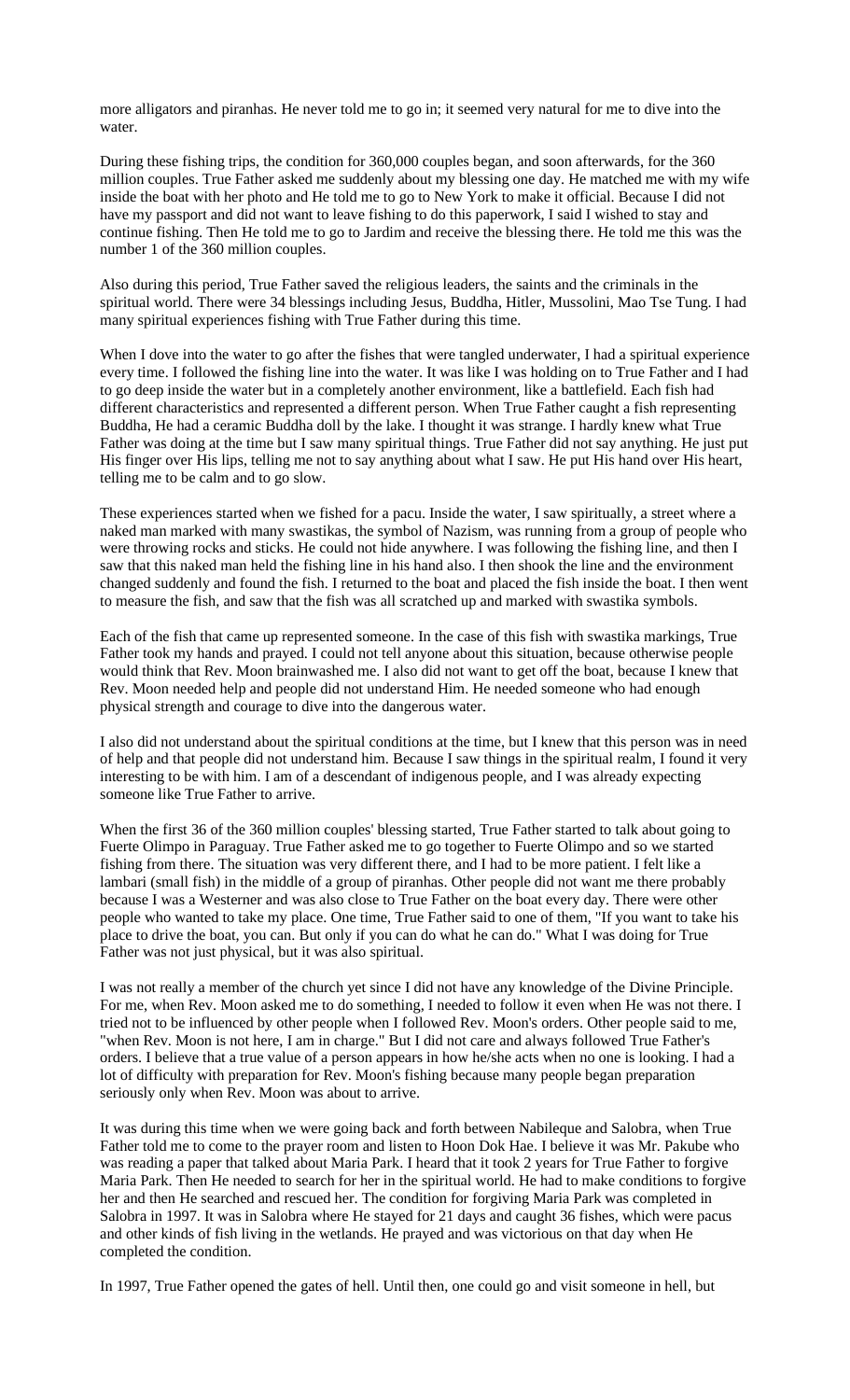more alligators and piranhas. He never told me to go in; it seemed very natural for me to dive into the water.

During these fishing trips, the condition for 360,000 couples began, and soon afterwards, for the 360 million couples. True Father asked me suddenly about my blessing one day. He matched me with my wife inside the boat with her photo and He told me to go to New York to make it official. Because I did not have my passport and did not want to leave fishing to do this paperwork, I said I wished to stay and continue fishing. Then He told me to go to Jardim and receive the blessing there. He told me this was the number 1 of the 360 million couples.

Also during this period, True Father saved the religious leaders, the saints and the criminals in the spiritual world. There were 34 blessings including Jesus, Buddha, Hitler, Mussolini, Mao Tse Tung. I had many spiritual experiences fishing with True Father during this time.

When I dove into the water to go after the fishes that were tangled underwater, I had a spiritual experience every time. I followed the fishing line into the water. It was like I was holding on to True Father and I had to go deep inside the water but in a completely another environment, like a battlefield. Each fish had different characteristics and represented a different person. When True Father caught a fish representing Buddha, He had a ceramic Buddha doll by the lake. I thought it was strange. I hardly knew what True Father was doing at the time but I saw many spiritual things. True Father did not say anything. He just put His finger over His lips, telling me not to say anything about what I saw. He put His hand over His heart, telling me to be calm and to go slow.

These experiences started when we fished for a pacu. Inside the water, I saw spiritually, a street where a naked man marked with many swastikas, the symbol of Nazism, was running from a group of people who were throwing rocks and sticks. He could not hide anywhere. I was following the fishing line, and then I saw that this naked man held the fishing line in his hand also. I then shook the line and the environment changed suddenly and found the fish. I returned to the boat and placed the fish inside the boat. I then went to measure the fish, and saw that the fish was all scratched up and marked with swastika symbols.

Each of the fish that came up represented someone. In the case of this fish with swastika markings, True Father took my hands and prayed. I could not tell anyone about this situation, because otherwise people would think that Rev. Moon brainwashed me. I also did not want to get off the boat, because I knew that Rev. Moon needed help and people did not understand Him. He needed someone who had enough physical strength and courage to dive into the dangerous water.

I also did not understand about the spiritual conditions at the time, but I knew that this person was in need of help and that people did not understand him. Because I saw things in the spiritual realm, I found it very interesting to be with him. I am of a descendant of indigenous people, and I was already expecting someone like True Father to arrive.

When the first 36 of the 360 million couples' blessing started, True Father started to talk about going to Fuerte Olimpo in Paraguay. True Father asked me to go together to Fuerte Olimpo and so we started fishing from there. The situation was very different there, and I had to be more patient. I felt like a lambari (small fish) in the middle of a group of piranhas. Other people did not want me there probably because I was a Westerner and was also close to True Father on the boat every day. There were other people who wanted to take my place. One time, True Father said to one of them, "If you want to take his place to drive the boat, you can. But only if you can do what he can do." What I was doing for True Father was not just physical, but it was also spiritual.

I was not really a member of the church yet since I did not have any knowledge of the Divine Principle. For me, when Rev. Moon asked me to do something, I needed to follow it even when He was not there. I tried not to be influenced by other people when I followed Rev. Moon's orders. Other people said to me, "when Rev. Moon is not here, I am in charge." But I did not care and always followed True Father's orders. I believe that a true value of a person appears in how he/she acts when no one is looking. I had a lot of difficulty with preparation for Rev. Moon's fishing because many people began preparation seriously only when Rev. Moon was about to arrive.

It was during this time when we were going back and forth between Nabileque and Salobra, when True Father told me to come to the prayer room and listen to Hoon Dok Hae. I believe it was Mr. Pakube who was reading a paper that talked about Maria Park. I heard that it took 2 years for True Father to forgive Maria Park. Then He needed to search for her in the spiritual world. He had to make conditions to forgive her and then He searched and rescued her. The condition for forgiving Maria Park was completed in Salobra in 1997. It was in Salobra where He stayed for 21 days and caught 36 fishes, which were pacus and other kinds of fish living in the wetlands. He prayed and was victorious on that day when He completed the condition.

In 1997, True Father opened the gates of hell. Until then, one could go and visit someone in hell, but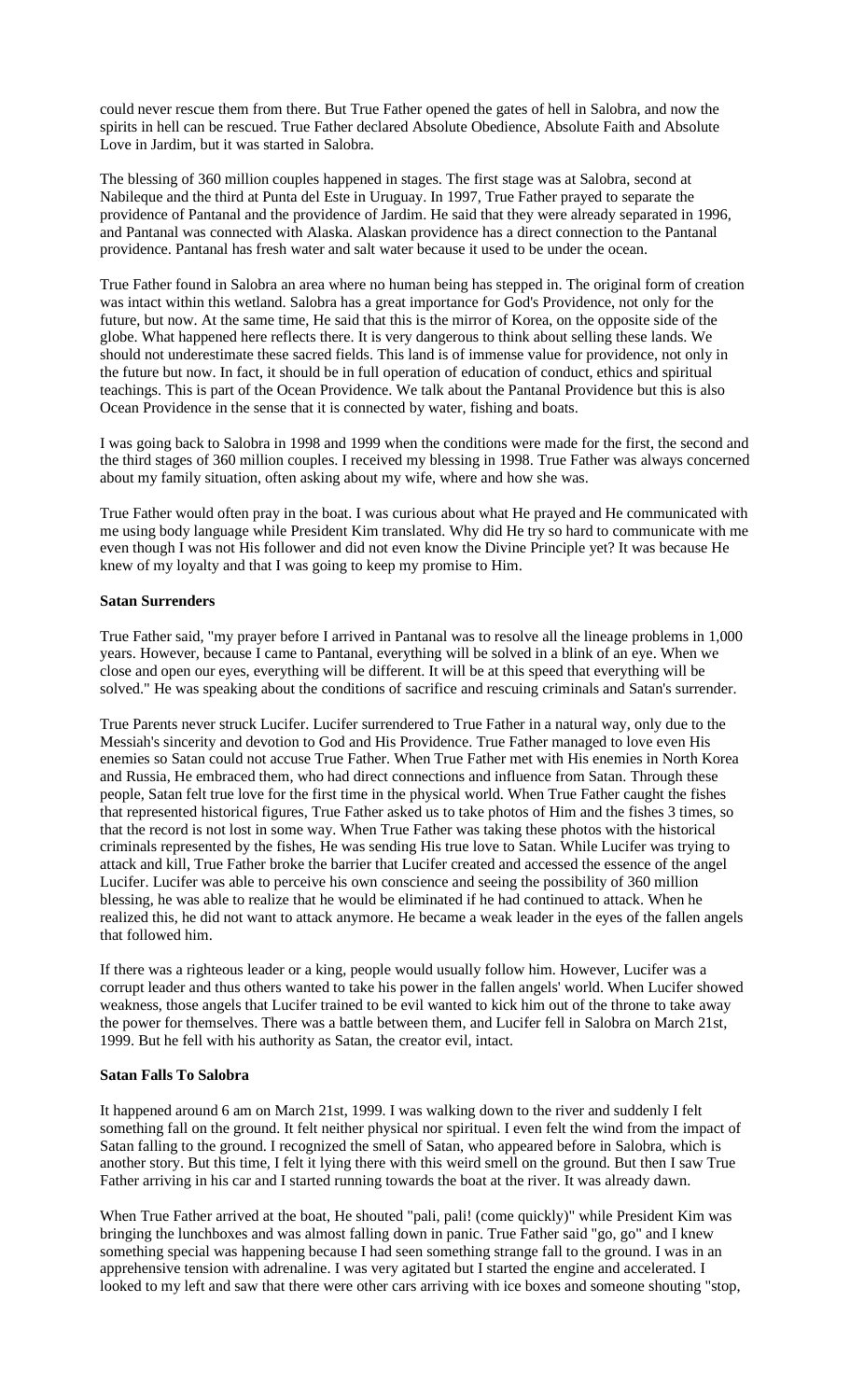could never rescue them from there. But True Father opened the gates of hell in Salobra, and now the spirits in hell can be rescued. True Father declared Absolute Obedience, Absolute Faith and Absolute Love in Jardim, but it was started in Salobra.

The blessing of 360 million couples happened in stages. The first stage was at Salobra, second at Nabileque and the third at Punta del Este in Uruguay. In 1997, True Father prayed to separate the providence of Pantanal and the providence of Jardim. He said that they were already separated in 1996, and Pantanal was connected with Alaska. Alaskan providence has a direct connection to the Pantanal providence. Pantanal has fresh water and salt water because it used to be under the ocean.

True Father found in Salobra an area where no human being has stepped in. The original form of creation was intact within this wetland. Salobra has a great importance for God's Providence, not only for the future, but now. At the same time, He said that this is the mirror of Korea, on the opposite side of the globe. What happened here reflects there. It is very dangerous to think about selling these lands. We should not underestimate these sacred fields. This land is of immense value for providence, not only in the future but now. In fact, it should be in full operation of education of conduct, ethics and spiritual teachings. This is part of the Ocean Providence. We talk about the Pantanal Providence but this is also Ocean Providence in the sense that it is connected by water, fishing and boats.

I was going back to Salobra in 1998 and 1999 when the conditions were made for the first, the second and the third stages of 360 million couples. I received my blessing in 1998. True Father was always concerned about my family situation, often asking about my wife, where and how she was.

True Father would often pray in the boat. I was curious about what He prayed and He communicated with me using body language while President Kim translated. Why did He try so hard to communicate with me even though I was not His follower and did not even know the Divine Principle yet? It was because He knew of my loyalty and that I was going to keep my promise to Him.

### **Satan Surrenders**

True Father said, "my prayer before I arrived in Pantanal was to resolve all the lineage problems in 1,000 years. However, because I came to Pantanal, everything will be solved in a blink of an eye. When we close and open our eyes, everything will be different. It will be at this speed that everything will be solved." He was speaking about the conditions of sacrifice and rescuing criminals and Satan's surrender.

True Parents never struck Lucifer. Lucifer surrendered to True Father in a natural way, only due to the Messiah's sincerity and devotion to God and His Providence. True Father managed to love even His enemies so Satan could not accuse True Father. When True Father met with His enemies in North Korea and Russia, He embraced them, who had direct connections and influence from Satan. Through these people, Satan felt true love for the first time in the physical world. When True Father caught the fishes that represented historical figures, True Father asked us to take photos of Him and the fishes 3 times, so that the record is not lost in some way. When True Father was taking these photos with the historical criminals represented by the fishes, He was sending His true love to Satan. While Lucifer was trying to attack and kill, True Father broke the barrier that Lucifer created and accessed the essence of the angel Lucifer. Lucifer was able to perceive his own conscience and seeing the possibility of 360 million blessing, he was able to realize that he would be eliminated if he had continued to attack. When he realized this, he did not want to attack anymore. He became a weak leader in the eyes of the fallen angels that followed him.

If there was a righteous leader or a king, people would usually follow him. However, Lucifer was a corrupt leader and thus others wanted to take his power in the fallen angels' world. When Lucifer showed weakness, those angels that Lucifer trained to be evil wanted to kick him out of the throne to take away the power for themselves. There was a battle between them, and Lucifer fell in Salobra on March 21st, 1999. But he fell with his authority as Satan, the creator evil, intact.

### **Satan Falls To Salobra**

It happened around 6 am on March 21st, 1999. I was walking down to the river and suddenly I felt something fall on the ground. It felt neither physical nor spiritual. I even felt the wind from the impact of Satan falling to the ground. I recognized the smell of Satan, who appeared before in Salobra, which is another story. But this time, I felt it lying there with this weird smell on the ground. But then I saw True Father arriving in his car and I started running towards the boat at the river. It was already dawn.

When True Father arrived at the boat, He shouted "pali, pali! (come quickly)" while President Kim was bringing the lunchboxes and was almost falling down in panic. True Father said "go, go" and I knew something special was happening because I had seen something strange fall to the ground. I was in an apprehensive tension with adrenaline. I was very agitated but I started the engine and accelerated. I looked to my left and saw that there were other cars arriving with ice boxes and someone shouting "stop,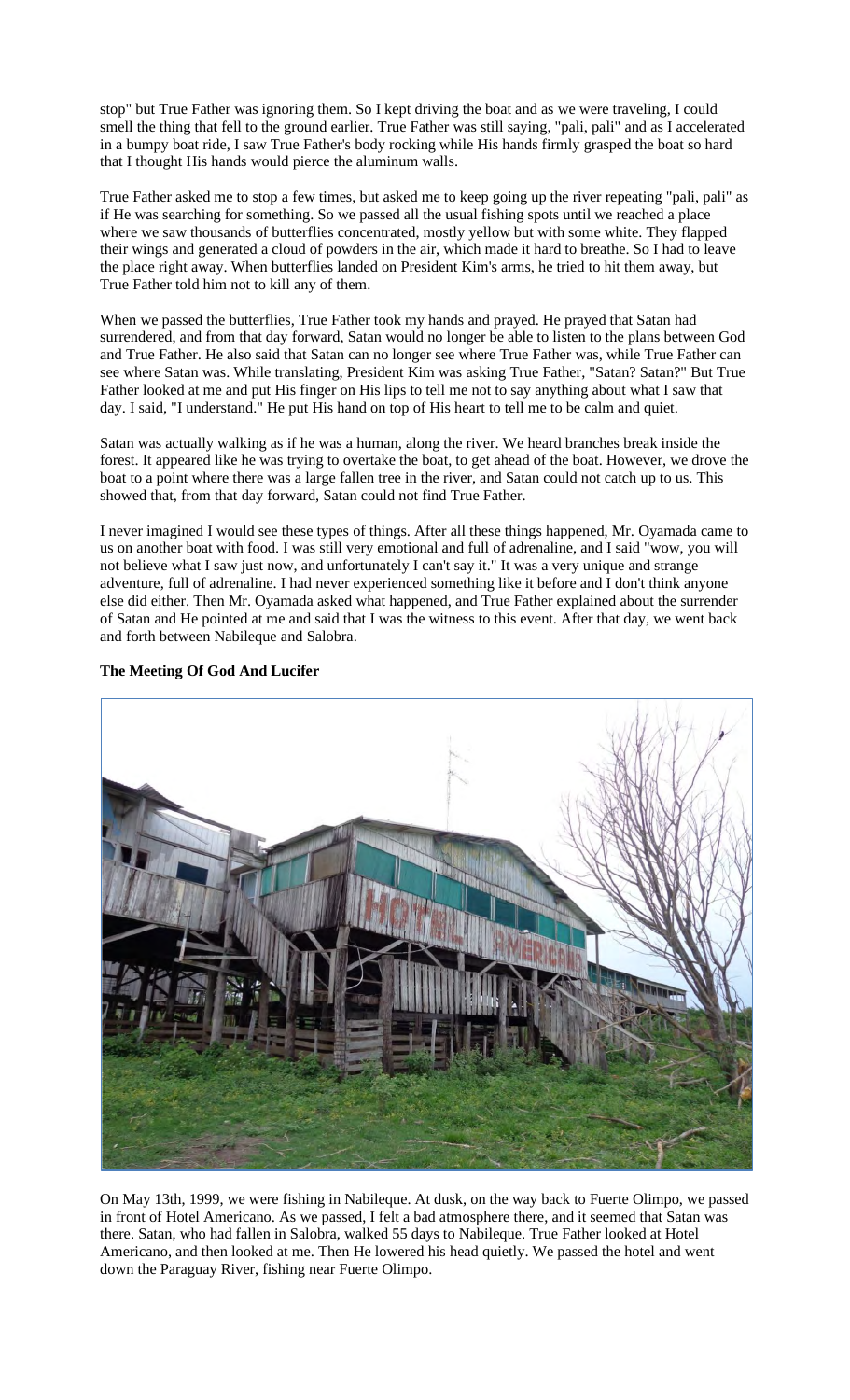stop" but True Father was ignoring them. So I kept driving the boat and as we were traveling, I could smell the thing that fell to the ground earlier. True Father was still saying, "pali, pali" and as I accelerated in a bumpy boat ride, I saw True Father's body rocking while His hands firmly grasped the boat so hard that I thought His hands would pierce the aluminum walls.

True Father asked me to stop a few times, but asked me to keep going up the river repeating "pali, pali" as if He was searching for something. So we passed all the usual fishing spots until we reached a place where we saw thousands of butterflies concentrated, mostly yellow but with some white. They flapped their wings and generated a cloud of powders in the air, which made it hard to breathe. So I had to leave the place right away. When butterflies landed on President Kim's arms, he tried to hit them away, but True Father told him not to kill any of them.

When we passed the butterflies, True Father took my hands and prayed. He prayed that Satan had surrendered, and from that day forward, Satan would no longer be able to listen to the plans between God and True Father. He also said that Satan can no longer see where True Father was, while True Father can see where Satan was. While translating, President Kim was asking True Father, "Satan? Satan?" But True Father looked at me and put His finger on His lips to tell me not to say anything about what I saw that day. I said, "I understand." He put His hand on top of His heart to tell me to be calm and quiet.

Satan was actually walking as if he was a human, along the river. We heard branches break inside the forest. It appeared like he was trying to overtake the boat, to get ahead of the boat. However, we drove the boat to a point where there was a large fallen tree in the river, and Satan could not catch up to us. This showed that, from that day forward, Satan could not find True Father.

I never imagined I would see these types of things. After all these things happened, Mr. Oyamada came to us on another boat with food. I was still very emotional and full of adrenaline, and I said "wow, you will not believe what I saw just now, and unfortunately I can't say it." It was a very unique and strange adventure, full of adrenaline. I had never experienced something like it before and I don't think anyone else did either. Then Mr. Oyamada asked what happened, and True Father explained about the surrender of Satan and He pointed at me and said that I was the witness to this event. After that day, we went back and forth between Nabileque and Salobra.



# **The Meeting Of God And Lucifer**

On May 13th, 1999, we were fishing in Nabileque. At dusk, on the way back to Fuerte Olimpo, we passed in front of Hotel Americano. As we passed, I felt a bad atmosphere there, and it seemed that Satan was there. Satan, who had fallen in Salobra, walked 55 days to Nabileque. True Father looked at Hotel Americano, and then looked at me. Then He lowered his head quietly. We passed the hotel and went down the Paraguay River, fishing near Fuerte Olimpo.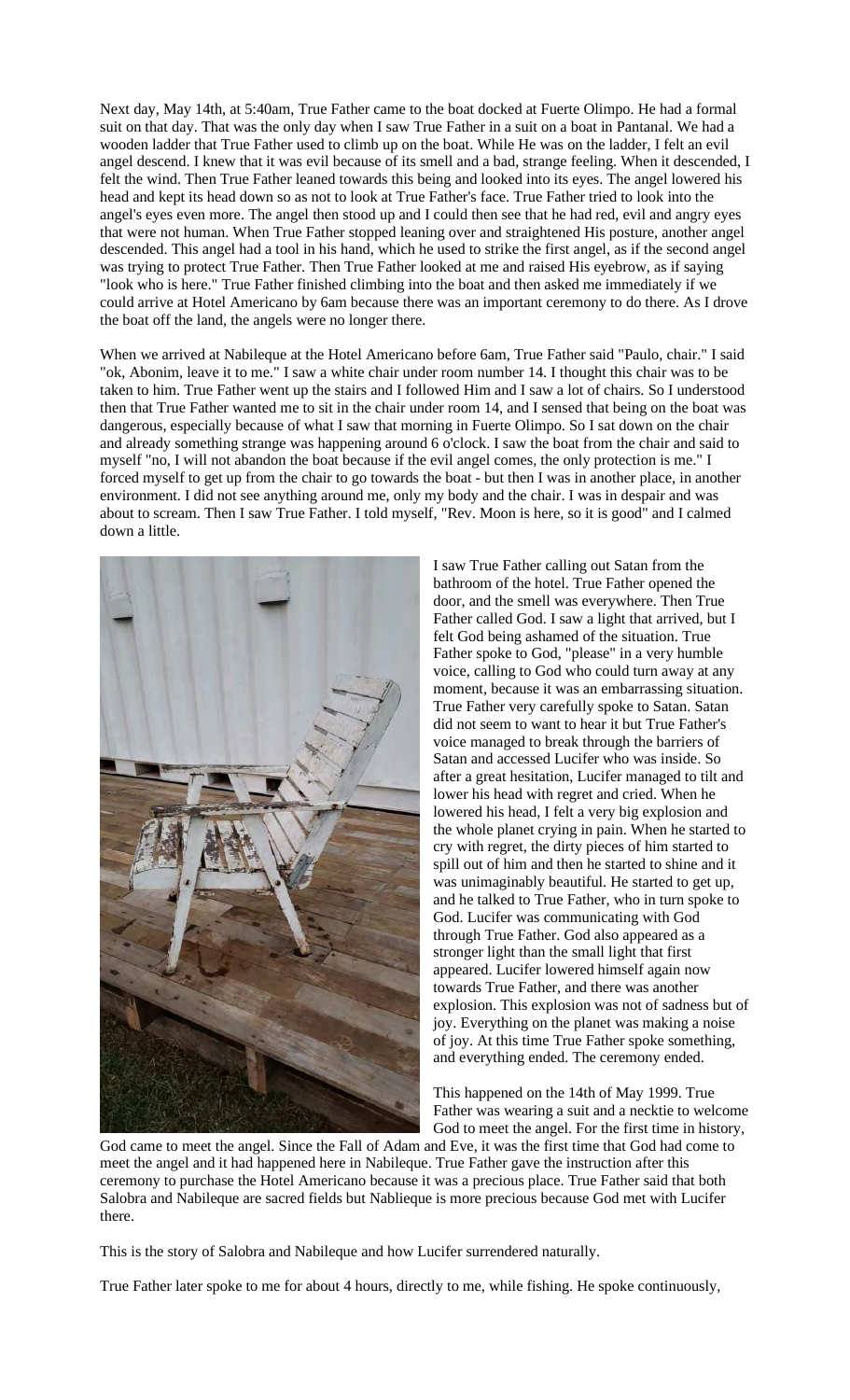Next day, May 14th, at 5:40am, True Father came to the boat docked at Fuerte Olimpo. He had a formal suit on that day. That was the only day when I saw True Father in a suit on a boat in Pantanal. We had a wooden ladder that True Father used to climb up on the boat. While He was on the ladder, I felt an evil angel descend. I knew that it was evil because of its smell and a bad, strange feeling. When it descended, I felt the wind. Then True Father leaned towards this being and looked into its eyes. The angel lowered his head and kept its head down so as not to look at True Father's face. True Father tried to look into the angel's eyes even more. The angel then stood up and I could then see that he had red, evil and angry eyes that were not human. When True Father stopped leaning over and straightened His posture, another angel descended. This angel had a tool in his hand, which he used to strike the first angel, as if the second angel was trying to protect True Father. Then True Father looked at me and raised His eyebrow, as if saying "look who is here." True Father finished climbing into the boat and then asked me immediately if we could arrive at Hotel Americano by 6am because there was an important ceremony to do there. As I drove the boat off the land, the angels were no longer there.

When we arrived at Nabileque at the Hotel Americano before 6am, True Father said "Paulo, chair." I said "ok, Abonim, leave it to me." I saw a white chair under room number 14. I thought this chair was to be taken to him. True Father went up the stairs and I followed Him and I saw a lot of chairs. So I understood then that True Father wanted me to sit in the chair under room 14, and I sensed that being on the boat was dangerous, especially because of what I saw that morning in Fuerte Olimpo. So I sat down on the chair and already something strange was happening around 6 o'clock. I saw the boat from the chair and said to myself "no, I will not abandon the boat because if the evil angel comes, the only protection is me." I forced myself to get up from the chair to go towards the boat - but then I was in another place, in another environment. I did not see anything around me, only my body and the chair. I was in despair and was about to scream. Then I saw True Father. I told myself, "Rev. Moon is here, so it is good" and I calmed down a little.



I saw True Father calling out Satan from the bathroom of the hotel. True Father opened the door, and the smell was everywhere. Then True Father called God. I saw a light that arrived, but I felt God being ashamed of the situation. True Father spoke to God, "please" in a very humble voice, calling to God who could turn away at any moment, because it was an embarrassing situation. True Father very carefully spoke to Satan. Satan did not seem to want to hear it but True Father's voice managed to break through the barriers of Satan and accessed Lucifer who was inside. So after a great hesitation, Lucifer managed to tilt and lower his head with regret and cried. When he lowered his head, I felt a very big explosion and the whole planet crying in pain. When he started to cry with regret, the dirty pieces of him started to spill out of him and then he started to shine and it was unimaginably beautiful. He started to get up, and he talked to True Father, who in turn spoke to God. Lucifer was communicating with God through True Father. God also appeared as a stronger light than the small light that first appeared. Lucifer lowered himself again now towards True Father, and there was another explosion. This explosion was not of sadness but of joy. Everything on the planet was making a noise of joy. At this time True Father spoke something, and everything ended. The ceremony ended.

This happened on the 14th of May 1999. True Father was wearing a suit and a necktie to welcome God to meet the angel. For the first time in history,

God came to meet the angel. Since the Fall of Adam and Eve, it was the first time that God had come to meet the angel and it had happened here in Nabileque. True Father gave the instruction after this ceremony to purchase the Hotel Americano because it was a precious place. True Father said that both Salobra and Nabileque are sacred fields but Nablieque is more precious because God met with Lucifer there.

This is the story of Salobra and Nabileque and how Lucifer surrendered naturally.

True Father later spoke to me for about 4 hours, directly to me, while fishing. He spoke continuously,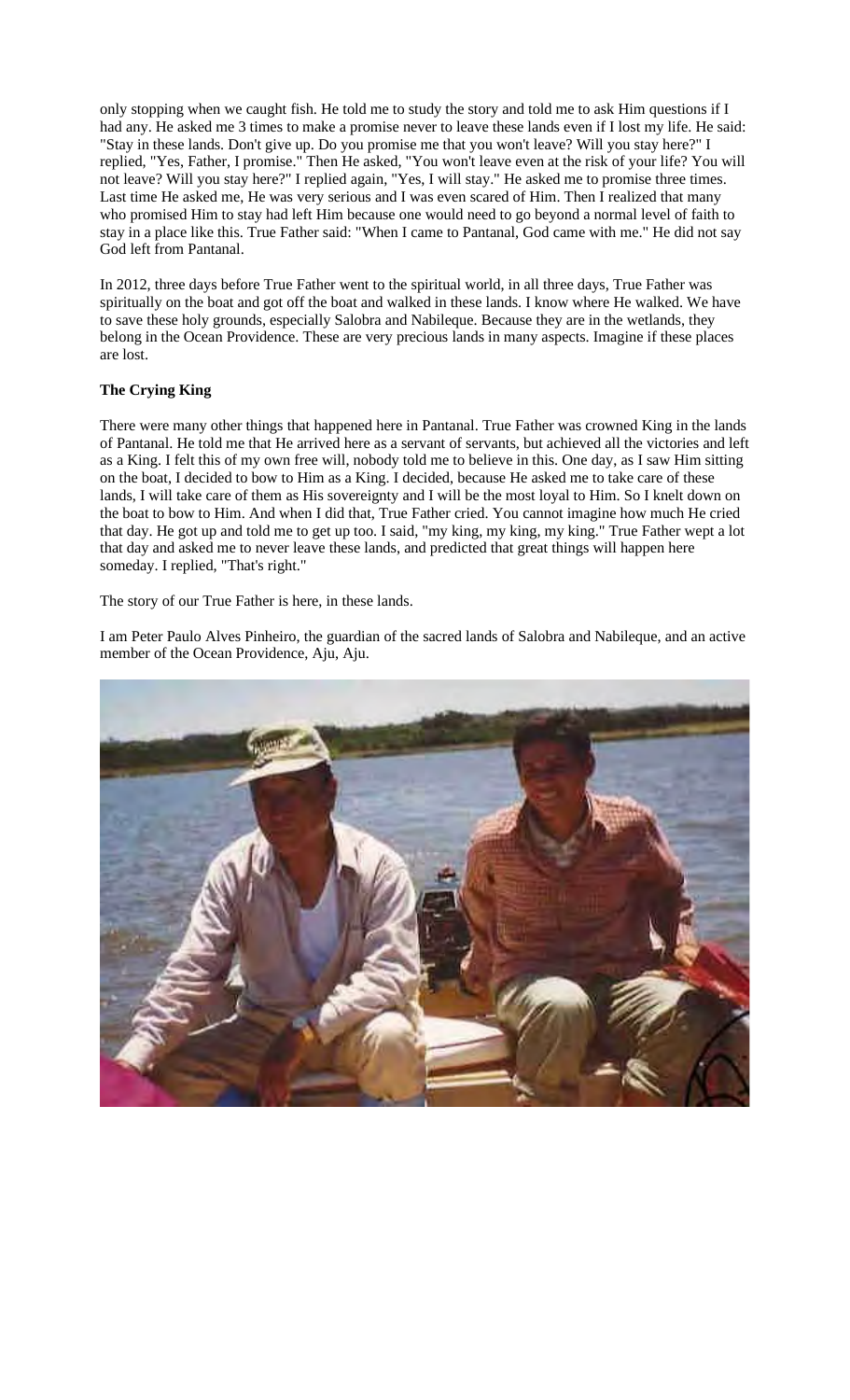only stopping when we caught fish. He told me to study the story and told me to ask Him questions if I had any. He asked me 3 times to make a promise never to leave these lands even if I lost my life. He said: "Stay in these lands. Don't give up. Do you promise me that you won't leave? Will you stay here?" I replied, "Yes, Father, I promise." Then He asked, "You won't leave even at the risk of your life? You will not leave? Will you stay here?" I replied again, "Yes, I will stay." He asked me to promise three times. Last time He asked me, He was very serious and I was even scared of Him. Then I realized that many who promised Him to stay had left Him because one would need to go beyond a normal level of faith to stay in a place like this. True Father said: "When I came to Pantanal, God came with me." He did not say God left from Pantanal.

In 2012, three days before True Father went to the spiritual world, in all three days, True Father was spiritually on the boat and got off the boat and walked in these lands. I know where He walked. We have to save these holy grounds, especially Salobra and Nabileque. Because they are in the wetlands, they belong in the Ocean Providence. These are very precious lands in many aspects. Imagine if these places are lost.

# **The Crying King**

There were many other things that happened here in Pantanal. True Father was crowned King in the lands of Pantanal. He told me that He arrived here as a servant of servants, but achieved all the victories and left as a King. I felt this of my own free will, nobody told me to believe in this. One day, as I saw Him sitting on the boat, I decided to bow to Him as a King. I decided, because He asked me to take care of these lands, I will take care of them as His sovereignty and I will be the most loyal to Him. So I knelt down on the boat to bow to Him. And when I did that, True Father cried. You cannot imagine how much He cried that day. He got up and told me to get up too. I said, "my king, my king, my king." True Father wept a lot that day and asked me to never leave these lands, and predicted that great things will happen here someday. I replied, "That's right."

The story of our True Father is here, in these lands.

I am Peter Paulo Alves Pinheiro, the guardian of the sacred lands of Salobra and Nabileque, and an active member of the Ocean Providence, Aju, Aju.

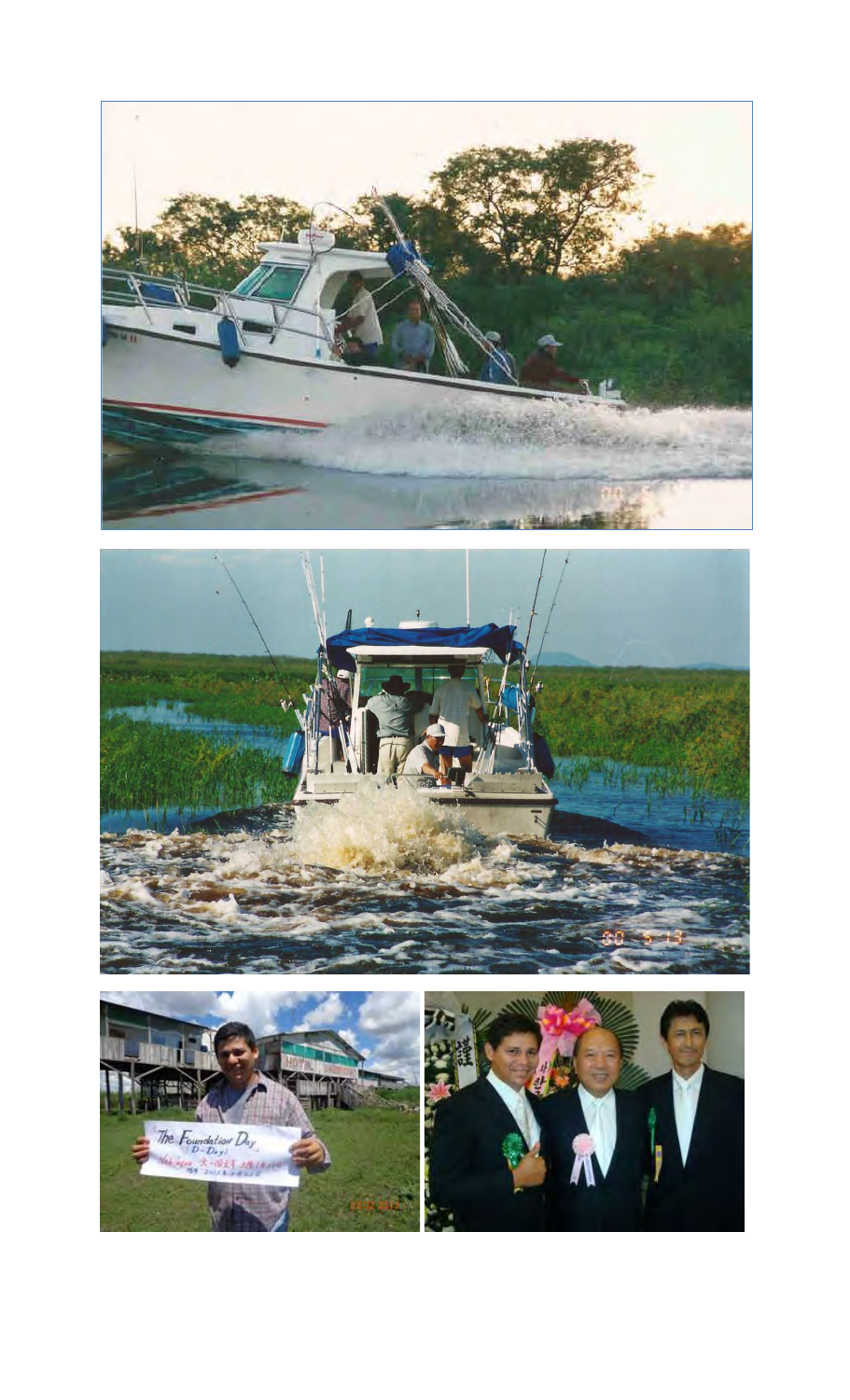